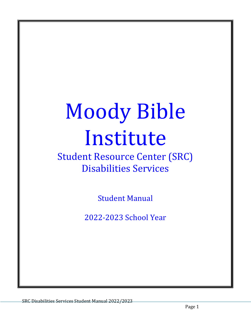# Moody Bible Institute

# **Student Resource Center (SRC)** Disabilities Services

**Student Manual** 

2022-2023 School Year

SRC Disabilities Services Student Manual 2022/2023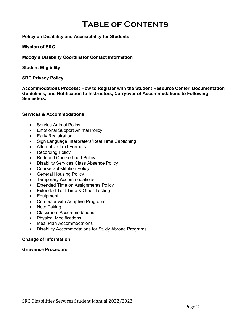# **Table of Contents**

#### **Policy on Disability and Accessibility for Students**

#### **Mission of SRC**

**Moody's Disability Coordinator Contact Information**

**Student Eligibility**

#### **SRC Privacy Policy**

**Accommodations Process: How to Register with the Student Resource Center, Documentation Guidelines, and Notification to Instructors, Carryover of Accommodations to Following Semesters.**

#### **Services & Accommodations**

- Service Animal Policy
- Emotional Support Animal Policy
- Early Registration
- Sign Language Interpreters/Real Time Captioning
- Alternative Text Formats
- Recording Policy
- Reduced Course Load Policy
- Disability Services Class Absence Policy
- Course Substitution Policy
- General Housing Policy
- Temporary Accommodations
- Extended Time on Assignments Policy
- Extended Test Time & Other Testing
- Equipment
- Computer with Adaptive Programs
- Note Taking
- Classroom Accommodations
- Physical Modifications
- Meal Plan Accommodations
- Disability Accommodations for Study Abroad Programs

#### **Change of Information**

#### **Grievance Procedure**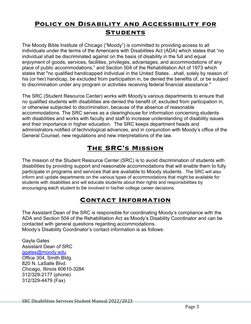# **Policy on Disability and Accessibility for Students**

The Moody Bible Institute of Chicago ("Moody") is committed to providing access to all individuals under the terms of the Americans with Disabilities Act (ADA) which states that "no individual shall be discriminated against on the basis of disability in the full and equal enjoyment of goods, services, facilities, privileges, advantages, and accommodations of any place of public accommodations," and Section 504 of the Rehabilitation Act of 1973 which states that "no qualified handicapped individual in the United States…shall, solely by reason of his (or her) handicap, be excluded from participation in, be denied the benefits of, or be subject to discrimination under any program or activities receiving federal financial assistance."

The SRC (Student Resource Center) works with Moody's various departments to ensure that no qualified students with disabilities are denied the benefit of, excluded from participation in, or otherwise subjected to discrimination, because of the absence of reasonable accommodations. The SRC serves as a clearinghouse for information concerning students with disabilities and works with faculty and staff to increase understanding of disability issues and their importance in higher education. The SRC keeps department heads and administrators notified of technological advances, and in conjunction with Moody's office of the General Counsel, new regulations and new interpretations of the law.

# **The SRC's Mission**

The mission of the Student Resource Center (SRC) is to avoid discrimination of students with disabilities by providing support and reasonable accommodations that will enable them to fully participate in programs and services that are available to Moody students. The SRC will also inform and update departments on the various types of accommodations that might be available for students with disabilities and will educate students about their rights and responsibilities by encouraging each student to be involved in his/her college career decisions.

# **Contact Information**

The Assistant Dean of the SRC is responsible for coordinating Moody's compliance with the ADA and Section 504 of the Rehabilitation Act as Moody's Disability Coordinator and can be contacted with general questions regarding accommodations. Moody's Disability Coordinator's contact information is as follows:

Gayla Gates Assistant Dean of SRC ggates@moody.edu Office 304, Smith Bldg. 820 N. LaSalle Blvd. Chicago, Illinois 60610-3284 312/329-2177 (phone) 312/329-4479 (Fax)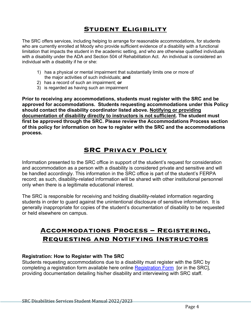# **Student Eligibility**

The SRC offers services, including helping to arrange for reasonable accommodations, for students who are currently enrolled at Moody who provide sufficient evidence of a disability with a functional limitation that impacts the student in the academic setting, and who are otherwise qualified individuals with a disability under the ADA and Section 504 of Rehabilitation Act. An individual is considered an individual with a disability if he or she:

- 1) has a physical or mental impairment that substantially limits one or more of the major activities of such individuals; **and**
- 2) has a record of such an impairment; **or**
- 3) is regarded as having such an impairment

**Prior to receiving any accommodations, students must register with the SRC and be approved for accommodations. Students requesting accommodations under this Policy should contact the disability coordinator listed above. Notifying or providing documentation of disability directly to instructors is not sufficient. The student must first be approved through the SRC. Please review the Accommodations Process section of this policy for information on how to register with the SRC and the accommodations process.**

# **SRC Privacy Policy**

Information presented to the SRC office in support of the student's request for consideration and accommodation as a person with a disability is considered private and sensitive and will be handled accordingly. This information in the SRC office is part of the student's FERPA record; as such, disability-related information will be shared with other institutional personnel only when there is a legitimate educational interest.

The SRC is responsible for receiving and holding disability-related information regarding students in order to guard against the unintentional disclosure of sensitive information. It is generally inappropriate for copies of the student's documentation of disability to be requested or held elsewhere on campus.

# **Accommodations Process – Registering, Requesting and Notifying Instructors**

#### **Registration: How to Register with The SRC**

Students requesting accommodations due to a disability must register with the SRC by completing a registration form available here online Registration Form [or in the SRC], providing documentation detailing his/her disability and interviewing with SRC staff.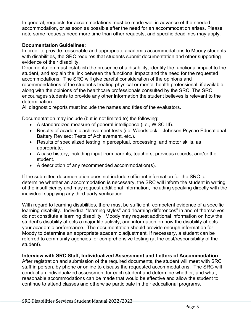In general, requests for accommodations must be made well in advance of the needed accommodation, or as soon as possible after the need for an accommodation arises. Please note some requests need more time than other requests, and specific deadlines may apply.

# **Documentation Guidelines:**

In order to provide reasonable and appropriate academic accommodations to Moody students with disabilities, the SRC requires that students submit documentation and other supporting evidence of their disability.

Documentation must establish the presence of a disability, identify the functional impact to the student, and explain the link between the functional impact and the need for the requested accommodations. The SRC will give careful consideration of the opinions and recommendations of the student's treating physical or mental health professional, if available, along with the opinions of the healthcare professionals consulted by the SRC. The SRC encourages students to provide any other information the student believes is relevant to the determination.

All diagnostic reports must include the names and titles of the evaluators.

Documentation may include (but is not limited to) the following:

- A standardized measure of general intelligence (i.e., WISC-III).
- Results of academic achievement tests (i.e. Woodstock Johnson Psycho Educational Battery Revised; Tests of Achievement, etc.).
- Results of specialized testing in perceptual, processing, and motor skills, as appropriate.
- A case history, including input from parents, teachers, previous records, and/or the student.
- A description of any recommended accommodation(s).

If the submitted documentation does not include sufficient information for the SRC to determine whether an accommodation is necessary, the SRC will inform the student in writing of the insufficiency and may request additional information, including speaking directly with the individual supplying any third-party verification.

With regard to learning disabilities, there must be sufficient, competent evidence of a specific learning disability. Individual "learning styles" and "learning differences" in and of themselves do not constitute a learning disability. Moody may request additional information on how the student's disability affects a major life activity; and information on how the disability affects your academic performance. The documentation should provide enough information for Moody to determine an appropriate academic adjustment. If necessary, a student can be referred to community agencies for comprehensive testing (at the cost/responsibility of the student).

# **Interview with SRC Staff, Individualized Assessment and Letters of Accommodation**

After registration and submission of the required documents, the student will meet with SRC staff in person, by phone or online to discuss the requested accommodations. The SRC will conduct an individualized assessment for each student and determine whether, and what, reasonable accommodations can be made that would be effective and allow the student to continue to attend classes and otherwise participate in their educational programs.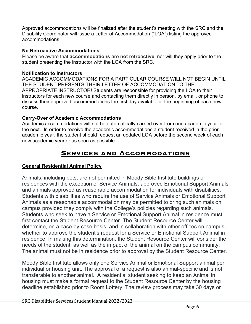Approved accommodations will be finalized after the student's meeting with the SRC and the Disability Coordinator will issue a Letter of Accommodation ("LOA") listing the approved accommodations.

#### **No Retroactive Accommodations**

Please be aware that **accommodations are not retroactive**, nor will they apply prior to the student presenting the instructor with the LOA from the SRC.

## **Notification to Instructors:**

ACADEMIC ACCOMMODATIONS FOR A PARTICULAR COURSE WILL NOT BEGIN UNTIL THE STUDENT PRESENTS THEIR LETTER OF ACCOMMODATION TO THE APPROPRIATE INSTRUCTOR! Students are responsible for providing the LOA to their instructors for each new course and contacting them directly in person, by email, or phone to discuss their approved accommodations the first day available at the beginning of each new course.

# **Carry-Over of Academic Accommodations**

Academic accommodations will not be automatically carried over from one academic year to the next. In order to receive the academic accommodations a student received in the prior academic year, the student should request an updated LOA before the second week of each new academic year or as soon as possible.

# **Services and Accommodations**

# **General Residential Animal Policy**

Animals, including pets, are not permitted in Moody Bible Institute buildings or residences with the exception of Service Animals, approved Emotional Support Animals and animals approved as reasonable accommodation for individuals with disabilities. Students with disabilities who require the use of Service Animals or Emotional Support Animals as a reasonable accommodation may be permitted to bring such animals on campus provided they comply with the College's policies regarding such animals. Students who seek to have a Service or Emotional Support Animal in residence must first contact the Student Resource Center. The Student Resource Center will determine, on a case-by-case basis, and in collaboration with other offices on campus, whether to approve the student's request for a Service or Emotional Support Animal in residence. In making this determination, the Student Resource Center will consider the needs of the student, as well as the impact of the animal on the campus community. The animal must not be in residence prior to approval by the Student Resource Center.

Moody Bible Institute allows only one Service Animal or Emotional Support animal per individual or housing unit. The approval of a request is also animal-specific and is not transferable to another animal. A residential student seeking to keep an Animal in housing must make a formal request to the Student Resource Center by the housing deadline established prior to Room Lottery. The review process may take 30 days or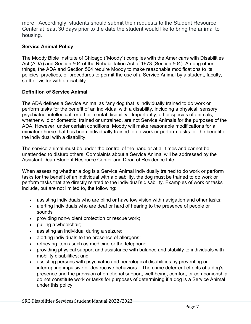more. Accordingly, students should submit their requests to the Student Resource Center at least 30 days prior to the date the student would like to bring the animal to housing.

# **Service Animal Policy**

The Moody Bible Institute of Chicago ("Moody") complies with the Americans with Disabilities Act (ADA) and Section 504 of the Rehabilitation Act of 1973 (Section 504). Among other things, the ADA and Section 504 require Moody to make reasonable modifications to its policies, practices, or procedures to permit the use of a Service Animal by a student, faculty, staff or visitor with a disability.

# **Definition of Service Animal**

The ADA defines a Service Animal as "any dog that is individually trained to do work or perform tasks for the benefit of an individual with a disability, including a physical, sensory, psychiatric, intellectual, or other mental disability." Importantly, other species of animals, whether wild or domestic, trained or untrained, are not Service Animals for the purposes of the ADA. However, under certain conditions, Moody will make reasonable modifications for a miniature horse that has been individually trained to do work or perform tasks for the benefit of the individual with a disability.

The service animal must be under the control of the handler at all times and cannot be unattended to disturb others. Complaints about a Service Animal will be addressed by the Assistant Dean Student Resource Center and Dean of Residence Life.

When assessing whether a dog is a Service Animal individually trained to do work or perform tasks for the benefit of an individual with a disability, the dog must be trained to do work or perform tasks that are directly related to the individual's disability. Examples of work or tasks include, but are not limited to, the following:

- assisting individuals who are blind or have low vision with navigation and other tasks;
- alerting individuals who are deaf or hard of hearing to the presence of people or sounds
- providing non-violent protection or rescue work;
- pulling a wheelchair;
- assisting an individual during a seizure;
- alerting individuals to the presence of allergens;
- retrieving items such as medicine or the telephone;
- providing physical support and assistance with balance and stability to individuals with mobility disabilities; and
- assisting persons with psychiatric and neurological disabilities by preventing or interrupting impulsive or destructive behaviors. The crime deterrent effects of a dog's presence and the provision of emotional support, well-being, comfort, or companionship do not constitute work or tasks for purposes of determining if a dog is a Service Animal under this policy.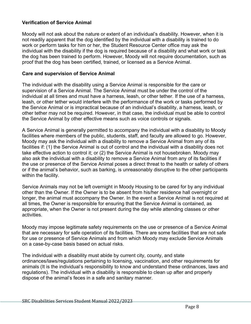## **Verification of Service Animal**

Moody will not ask about the nature or extent of an individual's disability. However, when it is not readily apparent that the dog identified by the individual with a disability is trained to do work or perform tasks for him or her, the Student Resource Center office may ask the individual with the disability if the dog is required because of a disability and what work or task the dog has been trained to perform. However, Moody will not require documentation, such as proof that the dog has been certified, trained, or licensed as a Service Animal.

#### **Care and supervision of Service Animal**

The individual with the disability using a Service Animal is responsible for the care or supervision of a Service Animal. The Service Animal must be under the control of the individual at all times and must have a harness, leash, or other tether. If the use of a harness, leash, or other tether would interfere with the performance of the work or tasks performed by the Service Animal or is impractical because of an individual's disability, a harness, leash, or other tether may not be required. However, in that case, the individual must be able to control the Service Animal by other effective means such as voice controls or signals.

A Service Animal is generally permitted to accompany the individual with a disability to Moody facilities where members of the public, students, staff, and faculty are allowed to go. However, Moody may ask the individual with a disability to remove a Service Animal from any of its facilities if: (1) the Service Animal is out of control and the individual with a disability does not take effective action to control it; or (2) the Service Animal is not housebroken. Moody may also ask the individual with a disability to remove a Service Animal from any of its facilities if the use or presence of the Service Animal poses a direct threat to the health or safety of others or if the animal's behavior, such as barking, is unreasonably disruptive to the other participants within the facility.

Service Animals may not be left overnight in Moody Housing to be cared for by any individual other than the Owner. If the Owner is to be absent from his/her residence hall overnight or longer, the animal must accompany the Owner. In the event a Service Animal is not required at all times, the Owner is responsible for ensuring that the Service Animal is contained, as appropriate, when the Owner is not present during the day while attending classes or other activities.

Moody may impose legitimate safety requirements on the use or presence of a Service Animal that are necessary for safe operation of its facilities. There are some facilities that are not safe for use or presence of Service Animals and from which Moody may exclude Service Animals on a case-by-case basis based on actual risks.

The individual with a disability must abide by current city, county, and state ordinances/laws/regulations pertaining to licensing, vaccination, and other requirements for animals (It is the individual's responsibility to know and understand these ordinances, laws and regulations). The individual with a disability is responsible to clean up after and properly dispose of the animal's feces in a safe and sanitary manner.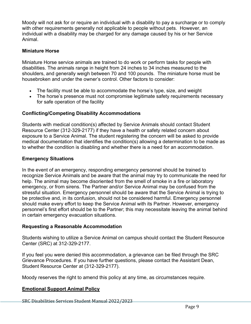Moody will not ask for or require an individual with a disability to pay a surcharge or to comply with other requirements generally not applicable to people without pets. However, an individual with a disability may be charged for any damage caused by his or her Service Animal.

#### **Miniature Horse**

Miniature Horse service animals are trained to do work or perform tasks for people with disabilities. The animals range in height from 24 inches to 34 inches measured to the shoulders, and generally weigh between 70 and 100 pounds. The miniature horse must be housebroken and under the owner's control. Other factors to consider:

- The facility must be able to accommodate the horse's type, size, and weight
- The horse's presence must not compromise legitimate safety requirements necessary for safe operation of the facility

# **Conflicting/Competing Disability Accommodations**

Students with medical condition(s) affected by Service Animals should contact Student Resource Center (312-329-2177) if they have a health or safety related concern about exposure to a Service Animal. The student registering the concern will be asked to provide medical documentation that identifies the condition(s) allowing a determination to be made as to whether the condition is disabling and whether there is a need for an accommodation.

#### **Emergency Situations**

In the event of an emergency, responding emergency personnel should be trained to recognize Service Animals and be aware that the animal may try to communicate the need for help. The animal may become disoriented from the smell of smoke in a fire or laboratory emergency, or from sirens. The Partner and/or Service Animal may be confused from the stressful situation. Emergency personnel should be aware that the Service Animal is trying to be protective and, in its confusion, should not be considered harmful. Emergency personnel should make every effort to keep the Service Animal with its Partner. However, emergency personnel's first effort should be to the Partner; this may necessitate leaving the animal behind in certain emergency evacuation situations.

#### **Requesting a Reasonable Accommodation**

Students wishing to utilize a Service Animal on campus should contact the Student Resource Center (SRC) at 312-329-2177.

If you feel you were denied this accommodation, a grievance can be filed through the SRC Grievance Procedures. If you have further questions, please contact the Assistant Dean, Student Resource Center at (312-329-2177).

Moody reserves the right to amend this policy at any time, as circumstances require.

#### **Emotional Support Animal Policy**

SRC Disabilities Services Student Manual 2022/2023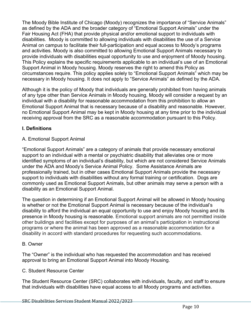The Moody Bible Institute of Chicago (Moody) recognizes the importance of "Service Animals" as defined by the ADA and the broader category of "Emotional Support Animals" under the Fair Housing Act (FHA) that provide physical and/or emotional support to individuals with disabilities. Moody is committed to allowing individuals with disabilities the use of a Service Animal on campus to facilitate their full-participation and equal access to Moody's programs and activities. Moody is also committed to allowing Emotional Support Animals necessary to provide individuals with disabilities equal opportunity to use and enjoyment of Moody housing. This Policy explains the specific requirements applicable to an individual's use of an Emotional Support Animal in Moody housing. Moody reserves the right to amend this Policy as circumstances require. This policy applies solely to "Emotional Support Animals" which may be necessary in Moody housing. It does not apply to "Service Animals" as defined by the ADA.

Although it is the policy of Moody that individuals are generally prohibited from having animals of any type other than Service Animals in Moody housing, Moody will consider a request by an individual with a disability for reasonable accommodation from this prohibition to allow an Emotional Support Animal that is necessary because of a disability and reasonable. However, no Emotional Support Animal may be kept in Moody housing at any time prior to the individual receiving approval from the SRC as a reasonable accommodation pursuant to this Policy.

# **I. Definitions**

#### A. Emotional Support Animal

"Emotional Support Animals" are a category of animals that provide necessary emotional support to an individual with a mental or psychiatric disability that alleviates one or more identified symptoms of an individual's disability, but which are not considered Service Animals under the ADA and Moody's Service Animal Policy. Some Assistance Animals are professionally trained, but in other cases Emotional Support Animals provide the necessary support to individuals with disabilities without any formal training or certification. Dogs are commonly used as Emotional Support Animals, but other animals may serve a person with a disability as an Emotional Support Animal.

The question in determining if an Emotional Support Animal will be allowed in Moody housing is whether or not the Emotional Support Animal is necessary because of the individual's disability to afford the individual an equal opportunity to use and enjoy Moody housing and its presence in Moody housing is reasonable. Emotional support animals are not permitted inside other buildings and facilities except for purposes of an animal's participation in instructional programs or where the animal has been approved as a reasonable accommodation for a disability in accord with standard procedures for requesting such accommodations.

#### B. Owner

The "Owner" is the individual who has requested the accommodation and has received approval to bring an Emotional Support Animal into Moody Housing.

#### C. Student Resource Center

The Student Resource Center (SRC) collaborates with individuals, faculty, and staff to ensure that individuals with disabilities have equal access to all Moody programs and activities.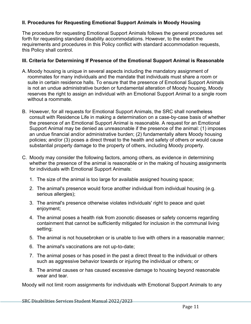# **II. Procedures for Requesting Emotional Support Animals in Moody Housing**

The procedure for requesting Emotional Support Animals follows the general procedures set forth for requesting standard disability accommodations. However, to the extent the requirements and procedures in this Policy conflict with standard accommodation requests, this Policy shall control.

#### **III. Criteria for Determining If Presence of the Emotional Support Animal is Reasonable**

- A. Moody housing is unique in several aspects including the mandatory assignment of roommates for many individuals and the mandate that individuals must share a room or suite in certain residence halls. To ensure that the presence of Emotional Support Animals is not an undue administrative burden or fundamental alteration of Moody housing, Moody reserves the right to assign an individual with an Emotional Support Animal to a single room without a roommate.
- B. However, for all requests for Emotional Support Animals, the SRC shall nonetheless consult with Residence Life in making a determination on a case-by-case basis of whether the presence of an Emotional Support Animal is reasonable. A request for an Emotional Support Animal may be denied as unreasonable if the presence of the animal: (1) imposes an undue financial and/or administrative burden; (2) fundamentally alters Moody housing policies; and/or (3) poses a direct threat to the health and safety of others or would cause substantial property damage to the property of others, including Moody property.
- C. Moody may consider the following factors, among others, as evidence in determining whether the presence of the animal is reasonable or in the making of housing assignments for individuals with Emotional Support Animals:
	- 1. The size of the animal is too large for available assigned housing space;
	- 2. The animal's presence would force another individual from individual housing (e.g. serious allergies);
	- 3. The animal's presence otherwise violates individuals' right to peace and quiet enjoyment;
	- 4. The animal poses a health risk from zoonotic diseases or safety concerns regarding containment that cannot be sufficiently mitigated for inclusion in the communal living setting;
	- 5. The animal is not housebroken or is unable to live with others in a reasonable manner;
	- 6. The animal's vaccinations are not up-to-date;
	- 7. The animal poses or has posed in the past a direct threat to the individual or others such as aggressive behavior towards or injuring the individual or others; or
	- 8. The animal causes or has caused excessive damage to housing beyond reasonable wear and tear.

Moody will not limit room assignments for individuals with Emotional Support Animals to any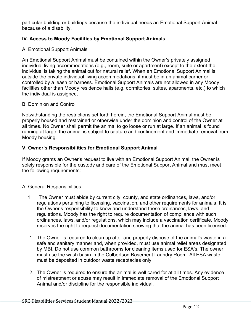particular building or buildings because the individual needs an Emotional Support Animal because of a disability.

# **IV. Access to Moody Facilities by Emotional Support Animals**

#### A. Emotional Support Animals

An Emotional Support Animal must be contained within the Owner's privately assigned individual living accommodations (e.g., room, suite or apartment) except to the extent the individual is taking the animal out for natural relief. When an Emotional Support Animal is outside the private individual living accommodations, it must be in an animal carrier or controlled by a leash or harness. Emotional Support Animals are not allowed in any Moody facilities other than Moody residence halls (e.g. dormitories, suites, apartments, etc.) to which the individual is assigned.

#### B. Dominion and Control

Notwithstanding the restrictions set forth herein, the Emotional Support Animal must be properly housed and restrained or otherwise under the dominion and control of the Owner at all times. No Owner shall permit the animal to go loose or run at large. If an animal is found running at large, the animal is subject to capture and confinement and immediate removal from Moody housing.

#### **V. Owner's Responsibilities for Emotional Support Animal**

If Moody grants an Owner's request to live with an Emotional Support Animal, the Owner is solely responsible for the custody and care of the Emotional Support Animal and must meet the following requirements:

#### A. General Responsibilities

- 1. The Owner must abide by current city, county, and state ordinances, laws, and/or regulations pertaining to licensing, vaccination, and other requirements for animals. It is the Owner's responsibility to know and understand these ordinances, laws, and regulations. Moody has the right to require documentation of compliance with such ordinances, laws, and/or regulations, which may include a vaccination certificate. Moody reserves the right to request documentation showing that the animal has been licensed.
- 1. The Owner is required to clean up after and properly dispose of the animal's waste in a safe and sanitary manner and, when provided, must use animal relief areas designated by MBI. Do not use common bathrooms for cleaning items used for ESA's. The owner must use the wash basin in the Culbertson Basement Laundry Room. All ESA waste must be deposited in outdoor waste receptacles only.
- 2. The Owner is required to ensure the animal is well cared for at all times. Any evidence of mistreatment or abuse may result in immediate removal of the Emotional Support Animal and/or discipline for the responsible individual.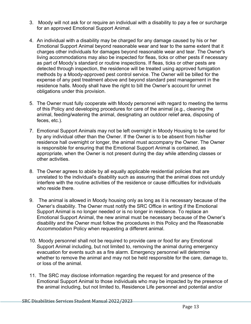- 3. Moody will not ask for or require an individual with a disability to pay a fee or surcharge for an approved Emotional Support Animal.
- 4. An individual with a disability may be charged for any damage caused by his or her Emotional Support Animal beyond reasonable wear and tear to the same extent that it charges other individuals for damages beyond reasonable wear and tear. The Owner's living accommodations may also be inspected for fleas, ticks or other pests if necessary as part of Moody's standard or routine inspections. If fleas, ticks or other pests are detected through inspection, the residence will be treated using approved fumigation methods by a Moody-approved pest control service. The Owner will be billed for the expense of any pest treatment above and beyond standard pest management in the residence halls. Moody shall have the right to bill the Owner's account for unmet obligations under this provision.
- 5. The Owner must fully cooperate with Moody personnel with regard to meeting the terms of this Policy and developing procedures for care of the animal (e.g., cleaning the animal, feeding/watering the animal, designating an outdoor relief area, disposing of feces, etc.).
- 7. Emotional Support Animals may not be left overnight in Moody Housing to be cared for by any individual other than the Owner. If the Owner is to be absent from his/her residence hall overnight or longer, the animal must accompany the Owner. The Owner is responsible for ensuring that the Emotional Support Animal is contained, as appropriate, when the Owner is not present during the day while attending classes or other activities.
- 8. The Owner agrees to abide by all equally applicable residential policies that are unrelated to the individual's disability such as assuring that the animal does not unduly interfere with the routine activities of the residence or cause difficulties for individuals who reside there.
- 9. The animal is allowed in Moody housing only as long as it is necessary because of the Owner's disability. The Owner must notify the SRC Office in writing if the Emotional Support Animal is no longer needed or is no longer in residence. To replace an Emotional Support Animal, the new animal must be necessary because of the Owner's disability and the Owner must follow the procedures in this Policy and the Reasonable Accommodation Policy when requesting a different animal.
- 10. Moody personnel shall not be required to provide care or food for any Emotional Support Animal including, but not limited to, removing the animal during emergency evacuation for events such as a fire alarm. Emergency personnel will determine whether to remove the animal and may not be held responsible for the care, damage to, or loss of the animal.
- 11. The SRC may disclose information regarding the request for and presence of the Emotional Support Animal to those individuals who may be impacted by the presence of the animal including, but not limited to, Residence Life personnel and potential and/or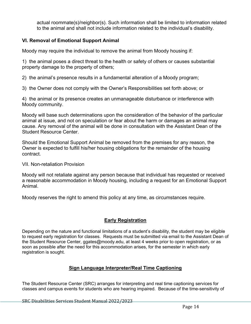actual roommate(s)/neighbor(s). Such information shall be limited to information related to the animal and shall not include information related to the individual's disability.

# **VI. Removal of Emotional Support Animal**

Moody may require the individual to remove the animal from Moody housing if:

1) the animal poses a direct threat to the health or safety of others or causes substantial property damage to the property of others;

2) the animal's presence results in a fundamental alteration of a Moody program;

3) the Owner does not comply with the Owner's Responsibilities set forth above; or

4) the animal or its presence creates an unmanageable disturbance or interference with Moody community.

Moody will base such determinations upon the consideration of the behavior of the particular animal at issue, and not on speculation or fear about the harm or damages an animal may cause. Any removal of the animal will be done in consultation with the Assistant Dean of the Student Resource Center.

Should the Emotional Support Animal be removed from the premises for any reason, the Owner is expected to fulfill his/her housing obligations for the remainder of the housing contract.

VII. Non-retaliation Provision

Moody will not retaliate against any person because that individual has requested or received a reasonable accommodation in Moody housing, including a request for an Emotional Support Animal.

Moody reserves the right to amend this policy at any time, as circumstances require.

# **Early Registration**

Depending on the nature and functional limitations of a student's disability, the student may be eligible to request early registration for classes. Requests must be submitted via email to the Assistant Dean of the Student Resource Center, ggates@moody.edu, at least 4 weeks prior to open registration, or as soon as possible after the need for this accommodation arises, for the semester in which early registration is sought.

# **Sign Language Interpreter/Real Time Captioning**

The Student Resource Center (SRC) arranges for interpreting and real time captioning services for classes and campus events for students who are hearing impaired. Because of the time-sensitivity of

SRC Disabilities Services Student Manual 2022/2023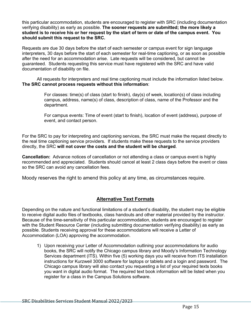this particular accommodation, students are encouraged to register with SRC (including documentation verifying disability) as early as possible. **The sooner requests are submitted; the more likely a student is to receive his or her request by the start of term or date of the campus event. You should submit this request to the SRC.**

Requests are due 30 days before the start of each semester or campus event for sign language interpreters, 30 days before the start of each semester for real-time captioning, or as soon as possible after the need for an accommodation arise. Late requests will be considered, but cannot be guaranteed. Students requesting this service must have registered with the SRC and have valid documentation of disability on file.

All requests for interpreters and real time captioning must include the information listed below. **The SRC cannot process requests without this information**:

> For classes: time(s) of class (start to finish), day(s) of week, location(s) of class including campus, address, name(s) of class, description of class, name of the Professor and the department.

> For campus events: Time of event (start to finish), location of event (address), purpose of event, and contact person.

For the SRC to pay for interpreting and captioning services, the SRC must make the request directly to the real time captioning service providers. If students make these requests to the service providers directly, the SRC **will not cover the costs and the student will be charged**.

**Cancellation:** Advance notices of cancellation or not attending a class or campus event is highly recommended and appreciated. Students should cancel at least 2 class days before the event or class so the SRC can avoid any cancellation fees.

Moody reserves the right to amend this policy at any time, as circumstances require.

# **Alternative Text Formats**

Depending on the nature and functional limitations of a student's disability, the student may be eligible to receive digital audio files of textbooks, class handouts and other material provided by the instructor. Because of the time-sensitivity of this particular accommodation, students are encouraged to register with the Student Resource Center (including submitting documentation verifying disability) as early as possible. Students receiving approval for these accommodations will receive a Letter of Accommodation (LOA) approving the accommodation.

1) Upon receiving your Letter of Accommodation outlining your accommodations for audio books, the SRC will notify the Chicago campus library and Moody's Information Technology Services department (ITS). Within five (5) working days you will receive from ITS installation instructions for Kurzweil 3000 software for laptops or tablets and a login and password. The Chicago campus library will also contact you requesting a list of your required texts books you want in digital audio format. The required text book information will be listed when you register for a class in the Campus Solutions software.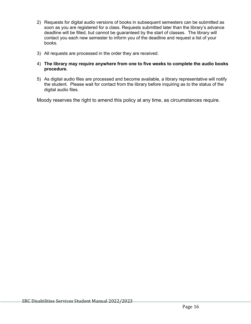- 2) Requests for digital audio versions of books in subsequent semesters can be submitted as soon as you are registered for a class. Requests submitted later than the library's advance deadline will be filled, but cannot be guaranteed by the start of classes. The library will contact you each new semester to inform you of the deadline and request a list of your books.
- 3) All requests are processed in the order they are received.
- 4) **The library may require anywhere from one to five weeks to complete the audio books procedure.**
- 5) As digital audio files are processed and become available, a library representative will notify the student. Please wait for contact from the library before inquiring as to the status of the digital audio files.

Moody reserves the right to amend this policy at any time, as circumstances require.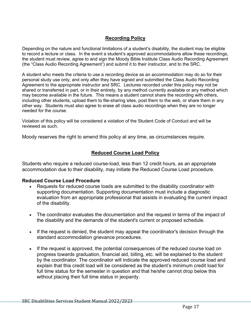# **Recording Policy**

Depending on the nature and functional limitations of a student's disability, the student may be eligible to record a lecture or class. In the event a student's approved accommodations allow these recordings, the student must review, agree to and sign the Moody Bible Institute Class Audio Recording Agreement (the "Class Audio Recording Agreement") and submit it to their instructor, and to the SRC.

A student who meets the criteria to use a recording device as an accommodation may do so for their personal study use only, and only after they have signed and submitted the Class Audio Recording Agreement to the appropriate instructor and SRC. Lectures recorded under this policy may not be shared or transferred in part, or in their entirety, by any method currently available or any method which may become available in the future. This means a student cannot share the recording with others, including other students, upload them to file-sharing sites, post them to the web, or share them in any other way. Students must also agree to erase all class audio recordings when they are no longer needed for the course.

Violation of this policy will be considered a violation of the Student Code of Conduct and will be reviewed as such.

Moody reserves the right to amend this policy at any time, as circumstances require.

# **Reduced Course Load Policy**

Students who require a reduced course-load, less than 12 credit hours, as an appropriate accommodation due to their disability, may initiate the Reduced Course Load procedure.

#### **Reduced Course Load Procedure**

- Requests for reduced course loads are submitted to the disability coordinator with supporting documentation. Supporting documentation must include a diagnostic evaluation from an appropriate professional that assists in evaluating the current impact of the disability.
- The coordinator evaluates the documentation and the request in terms of the impact of the disability and the demands of the student's current or proposed schedule.
- If the request is denied, the student may appeal the coordinator's decision through the standard accommodation grievance procedures.
- If the request is approved, the potential consequences of the reduced course load on progress towards graduation, financial aid, billing, etc. will be explained to the student by the coordinator. The coordinator will indicate the approved reduced course load and explain that this credit load will be considered as the student's minimum credit load for full time status for the semester in question and that he/she cannot drop below this without placing their full time status in jeopardy.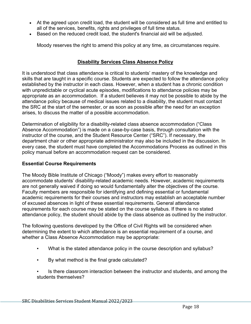- At the agreed upon credit load, the student will be considered as full time and entitled to all of the services, benefits, rights and privileges of full time status.
- Based on the reduced credit load, the student's financial aid will be adjusted.

Moody reserves the right to amend this policy at any time, as circumstances require.

## **Disability Services Class Absence Policy**

It is understood that class attendance is critical to students' mastery of the knowledge and skills that are taught in a specific course. Students are expected to follow the attendance policy established by the instructor in each class. However, when a student has a chronic condition with unpredictable or cyclical acute episodes, modifications to attendance policies may be appropriate as an accommodation. If a student believes it may not be possible to abide by the attendance policy because of medical issues related to a disability, the student must contact the SRC at the start of the semester, or as soon as possible after the need for an exception arises, to discuss the matter of a possible accommodation.

Determination of eligibility for a disability-related class absence accommodation ("Class Absence Accommodation") is made on a case-by-case basis, through consultation with the instructor of the course, and the Student Resource Center ("SRC"). If necessary, the department chair or other appropriate administrator may also be included in the discussion. In every case, the student must have completed the Accommodations Process as outlined in this policy manual before an accommodation request can be considered.

#### **Essential Course Requirements**

The Moody Bible Institute of Chicago ("Moody") makes every effort to reasonably accommodate students' disability-related academic needs. However, academic requirements are not generally waived if doing so would fundamentally alter the objectives of the course. Faculty members are responsible for identifying and defining essential or fundamental academic requirements for their courses and instructors may establish an acceptable number of excused absences in light of these essential requirements. General attendance requirements for each course may be stated on the course syllabus. If there is no stated attendance policy, the student should abide by the class absence as outlined by the instructor.

The following questions developed by the Office of Civil Rights will be considered when determining the extent to which attendance is an essential requirement of a course, and whether a Class Absence Accommodation may be appropriate:

- What is the stated attendance policy in the course description and syllabus?
- By what method is the final grade calculated?
- Is there classroom interaction between the instructor and students, and among the students themselves?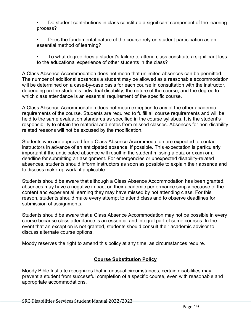Do student contributions in class constitute a significant component of the learning process?

- Does the fundamental nature of the course rely on student participation as an essential method of learning?
- To what degree does a student's failure to attend class constitute a significant loss to the educational experience of other students in the class?

A Class Absence Accommodation does not mean that unlimited absences can be permitted. The number of additional absences a student may be allowed as a reasonable accommodation will be determined on a case-by-case basis for each course in consultation with the instructor, depending on the student's individual disability, the nature of the course, and the degree to which class attendance is an essential requirement of the specific course.

A Class Absence Accommodation does not mean exception to any of the other academic requirements of the course. Students are required to fulfill all course requirements and will be held to the same evaluation standards as specified in the course syllabus. It is the student's responsibility to obtain the material and notes from missed classes. Absences for non-disability related reasons will not be excused by the modification.

Students who are approved for a Class Absence Accommodation are expected to contact instructors in advance of an anticipated absence, if possible. This expectation is particularly important if the anticipated absence will result in the student missing a quiz or exam or a deadline for submitting an assignment. For emergencies or unexpected disability-related absences, students should inform instructors as soon as possible to explain their absence and to discuss make-up work, if applicable.

Students should be aware that although a Class Absence Accommodation has been granted, absences may have a negative impact on their academic performance simply because of the content and experiential learning they may have missed by not attending class. For this reason, students should make every attempt to attend class and to observe deadlines for submission of assignments.

Students should be aware that a Class Absence Accommodation may not be possible in every course because class attendance is an essential and integral part of some courses. In the event that an exception is not granted, students should consult their academic advisor to discuss alternate course options.

Moody reserves the right to amend this policy at any time, as circumstances require.

# **Course Substitution Policy**

Moody Bible Institute recognizes that in unusual circumstances, certain disabilities may prevent a student from successful completion of a specific course, even with reasonable and appropriate accommodations.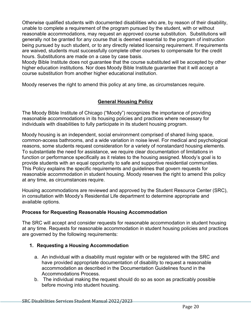Otherwise qualified students with documented disabilities who are, by reason of their disability, unable to complete a requirement of the program pursued by the student, with or without reasonable accommodations, may request an approved course substitution. Substitutions will generally not be granted for any course that is deemed essential to the program of instruction being pursued by such student, or to any directly related licensing requirement. If requirements are waived, students must successfully complete other courses to compensate for the credit hours. Substitutions are made on a case by case basis.

Moody Bible Institute does not guarantee that the course substituted will be accepted by other higher education institutions. Nor does Moody Bible Institute guarantee that it will accept a course substitution from another higher educational institution.

Moody reserves the right to amend this policy at any time, as circumstances require.

# **General Housing Policy**

The Moody Bible Institute of Chicago ("Moody") recognizes the importance of providing reasonable accommodations in its housing policies and practices where necessary for individuals with disabilities to fully participate in its student housing program.

Moody housing is an independent, social environment comprised of shared living space, common-access bathrooms, and a wide variation in noise level. For medical and psychological reasons, some students request consideration for a variety of nonstandard housing elements. To substantiate the need for assistance, we require clear documentation of limitations in function or performance specifically as it relates to the housing assigned. Moody's goal is to provide students with an equal opportunity to safe and supportive residential communities. This Policy explains the specific requirements and guidelines that govern requests for reasonable accommodation in student housing. Moody reserves the right to amend this policy at any time, as circumstances require.

Housing accommodations are reviewed and approved by the Student Resource Center (SRC), in consultation with Moody's Residential Life department to determine appropriate and available options.

# **Process for Requesting Reasonable Housing Accommodation**

The SRC will accept and consider requests for reasonable accommodation in student housing at any time. Requests for reasonable accommodation in student housing policies and practices are governed by the following requirements:

# **1. Requesting a Housing Accommodation**

- a. An individual with a disability must register with or be registered with the SRC and have provided appropriate documentation of disability to request a reasonable accommodation as described in the Documentation Guidelines found in the Accommodations Process.
- b. The individual making the request should do so as soon as practicably possible before moving into student housing.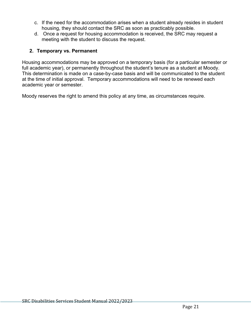- c. If the need for the accommodation arises when a student already resides in student housing, they should contact the SRC as soon as practicably possible.
- d. Once a request for housing accommodation is received, the SRC may request a meeting with the student to discuss the request.

# **2. Temporary vs. Permanent**

Housing accommodations may be approved on a temporary basis (for a particular semester or full academic year), or permanently throughout the student's tenure as a student at Moody. This determination is made on a case-by-case basis and will be communicated to the student at the time of initial approval. Temporary accommodations will need to be renewed each academic year or semester.

Moody reserves the right to amend this policy at any time, as circumstances require.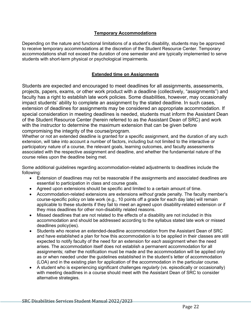#### **Temporary Accommodations**

Depending on the nature and functional limitations of a student's disability, students may be approved to receive temporary accommodations at the discretion of the Student Resource Center. Temporary accommodations shall not exceed the duration of one semester and are typically implemented to serve students with short-term physical or psychological impairments.

#### **Extended time on Assignments**

Students are expected and encouraged to meet deadlines for all assignments, assessments, projects, papers, exams, or other work product with a deadline (collectively, "assignments") and faculty has a right to establish late work policies. Some disabilities, however, may occasionally impact students' ability to complete an assignment by the stated deadline. In such cases, extension of deadlines for assignments may be considered an appropriate accommodation. If special consideration in meeting deadlines is needed, students must inform the Assistant Dean of the Student Resource Center (herein referred to as the Assistant Dean of SRC) and work with the instructor to determine the maximum extension that can be given before compromising the integrity of the course/program.

Whether or not an extended deadline is granted for a specific assignment, and the duration of any such extension, will take into account a number of factors, including but not limited to the interactive or participatory nature of a course, the relevant goals, learning outcomes, and faculty assessments associated with the respective assignment and deadline, and whether the fundamental nature of the course relies upon the deadline being met.

Some additional guidelines regarding accommodation-related adjustments to deadlines include the following:

- Extension of deadlines may not be reasonable if the assignments and associated deadlines are essential to participation in class and course goals.
- Agreed upon extensions should be specific and limited to a certain amount of time.
- Accommodation-related extensions are extensions *without* grade penalty. The faculty member's course-specific policy on late work (e.g., 10 points off a grade for each day late) will remain applicable to these students if they fail to meet an agreed upon disability-related extension or if they miss deadlines for other non-disability related reasons.
- Missed deadlines that are not related to the effects of a disability are not included in this accommodation and should be addressed according to the syllabus stated late work or missed deadlines policy(ies).
- Students who receive an extended-deadline accommodation from the Assistant Dean of SRC and have established a plan for how this accommodation is to be applied in their classes are still expected to notify faculty of the need for an extension for *each* assignment when the need arises. The accommodation itself does not establish a permanent accommodation for all assignments; rather the notification must be made and the accommodation will be applied only as or when needed under the guidelines established in the student's letter of accommodation (LOA) and in the existing plan for application of the accommodation in the particular course.
- A student who is experiencing significant challenges *regularly* (vs. episodically or occasionally) with meeting deadlines in a course should meet with the Assistant Dean of SRC to consider alternative strategies.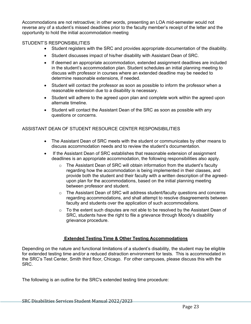Accommodations are not retroactive; in other words, presenting an LOA mid-semester would not reverse any of a student's missed deadlines prior to the faculty member's receipt of the letter and the opportunity to hold the initial accommodation meeting

#### STUDENT'S RESPONSIBILITIES

- Student registers with the SRC and provides appropriate documentation of the disability.
- Student discusses impact of his/her disability with Assistant Dean of SRC.
- If deemed an appropriate accommodation, extended assignment deadlines are included in the student's accommodation plan. Student schedules an initial planning meeting to discuss with professor in courses where an extended deadline may be needed to determine reasonable extensions, if needed.
- Student will contact the professor as soon as possible to inform the professor when a reasonable extension due to a disability is necessary.
- Student will adhere to the agreed upon plan and complete work within the agreed upon alternate timeline.
- Student will contact the Assistant Dean of the SRC as soon as possible with any questions or concerns.

#### ASSISTANT DEAN OF STUDENT RESOURCE CENTER RESPONSIBILITIES

- The Assistant Dean of SRC meets with the student or communicates by other means to discuss accommodation needs and to review the student's documentation.
- If the Assistant Dean of SRC establishes that reasonable extension of assignment deadlines is an appropriate accommodation, the following responsibilities also apply.
	- $\circ$  The Assistant Dean of SRC will obtain information from the student's faculty regarding how the accommodation is being implemented in their classes, and provide both the student and their faculty with a written description of the agreedupon plan for the accommodations, based on the initial planning meeting between professor and student.
	- o The Assistant Dean of SRC will address student/faculty questions and concerns regarding accommodations, and shall attempt to resolve disagreements between faculty and students over the application of such accommodations.
	- $\circ$  To the extent such disputes are not able to be resolved by the Assistant Dean of SRC, students have the right to file a grievance through Moody's disability grievance procedure.

#### **Extended Testing Time & Other Testing Accommodations**

Depending on the nature and functional limitations of a student's disability, the student may be eligible for extended testing time and/or a reduced distraction environment for tests. This is accommodated in the SRC's Test Center, Smith third floor, Chicago. For other campuses, please discuss this with the SRC.

The following is an outline for the SRC's extended testing time procedure: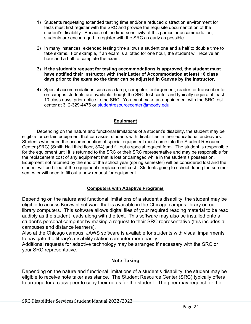- 1) Students requesting extended testing time and/or a reduced distraction environment for tests must first register with the SRC and provide the requisite documentation of the student's disability. Because of the time-sensitivity of this particular accommodation, students are encouraged to register with the SRC as early as possible.
- 2) In many instances, extended testing time allows a student one and a half to double time to take exams. For example, if an exam is allotted for one hour, the student will receive an hour and a half to complete the exam.
- 3) **If the student's request for testing accommodations is approved, the student must have notified their instructor with their Letter of Accommodation at least 10 class days prior to the exam so the timer can be adjusted in Canvas by the instructor.**
- 4) Special accommodations such as a lamp, computer, enlargement, reader, or transcriber for on campus students are available though the SRC test center and typically require at least 10 class days' prior notice to the SRC. You must make an appointment with the SRC test center at 312-329-4476 or studentresourcecenter@moody.edu.

# **Equipment**

Depending on the nature and functional limitations of a student's disability, the student may be eligible for certain equipment that can assist students with disabilities in their educational endeavors. Students who need the accommodation of special equipment must come into the Student Resource Center (SRC) (Smith Hall third floor, 304) and fill out a special request form. The student is responsible for the equipment until it is returned to the SRC or their SRC representative and may be responsible for the replacement cost of any equipment that is lost or damaged while in the student's possession. Equipment not returned by the end of the school year (spring semester) will be considered lost and the student will be billed at the equipment's replacement cost. Students going to school during the summer semester will need to fill out a new request for equipment.

#### **Computers with Adaptive Programs**

Depending on the nature and functional limitations of a student's disability, the student may be eligible to access Kurzweil software that is available in the Chicago campus library on our library computers. This software allows digital files of your required reading material to be read audibly as the student reads along with the text. This software may also be installed onto a student's personal computer by making a request to their SRC representative (this includes all campuses and distance learners).

Also at the Chicago campus, JAWS software is available for students with visual impairments to navigate the library's disability station computer more easily.

Additional requests for adaptive technology may be arranged if necessary with the SRC or your SRC representative.

#### **Note Taking**

Depending on the nature and functional limitations of a student's disability, the student may be eligible to receive note taker assistance. The Student Resource Center (SRC) typically offers to arrange for a class peer to copy their notes for the student. The peer may request for the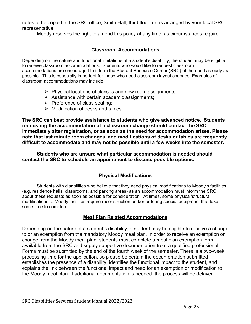notes to be copied at the SRC office, Smith Hall, third floor, or as arranged by your local SRC representative.

Moody reserves the right to amend this policy at any time, as circumstances require.

# **Classroom Accommodations**

Depending on the nature and functional limitations of a student's disability, the student may be eligible to receive classroom accommodations. Students who would like to request classroom accommodations are encouraged to inform the Student Resource Center (SRC) of the need as early as possible. This is especially important for those who need classroom layout changes. Examples of classroom accommodations may include:

- $\triangleright$  Physical locations of classes and new room assignments;
- $\triangleright$  Assistance with certain academic assignments;
- $\triangleright$  Preference of class seating;
- $\triangleright$  Modification of desks and tables.

**The SRC can best provide assistance to students who give advanced notice. Students requesting the accommodation of a classroom change should contact the SRC immediately after registration, or as soon as the need for accommodation arises. Please note that last minute room changes, and modifications of desks or tables are frequently difficult to accommodate and may not be possible until a few weeks into the semester.**

**Students who are unsure what particular accommodation is needed should contact the SRC to schedule an appointment to discuss possible options.**

# **Physical Modifications**

Students with disabilities who believe that they need physical modifications to Moody's facilities (e.g. residence halls, classrooms, and parking areas) as an accommodation must inform the SRC about these requests as soon as possible for consideration. At times, some physical/structural modifications to Moody facilities require reconstruction and/or ordering special equipment that take some time to complete.

# **Meal Plan Related Accommodations**

Depending on the nature of a student's disability, a student may be eligible to receive a change to or an exemption from the mandatory Moody meal plan. In order to receive an exemption or change from the Moody meal plan, students must complete a meal plan exemption form available from the SRC and supply supportive documentation from a qualified professional. Forms must be submitted by the end of the fourth week of the semester. There is a two-week processing time for the application, so please be certain the documentation submitted establishes the presence of a disability, identifies the functional impact to the student, and explains the link between the functional impact and need for an exemption or modification to the Moody meal plan. If additional documentation is needed, the process will be delayed.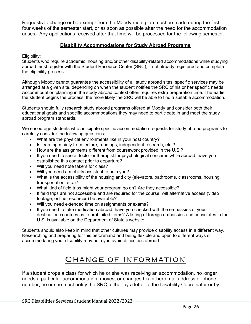Requests to change or be exempt from the Moody meal plan must be made during the first four weeks of the semester start, or as soon as possible after the need for the accommodation arises. Any applications received after that time will be processed for the following semester.

# **Disability Accommodations for Study Abroad Programs**

Eligibility:

Students who require academic, housing and/or other disability-related accommodations while studying abroad must register with the Student Resource Center (SRC), if not already registered and complete the eligibility process.

Although Moody cannot guarantee the accessibility of all study abroad sites, specific services may be arranged at a given site, depending on when the student notifies the SRC of his or her specific needs. Accommodation planning in the study abroad context often requires extra preparation time. The earlier the student begins the process, the more likely the SRC will be able to find a suitable accommodation.

Students should fully research study abroad programs offered at Moody and consider both their educational goals and specific accommodations they may need to participate in and meet the study abroad program standards.

We encourage students who anticipate specific accommodation requests for study abroad programs to carefully consider the following questions:

- What are the physical environments like in your host country?
- Is learning mainly from lecture, readings, independent research, etc.?
- How are the assignments different from coursework provided in the U.S.?
- If you need to see a doctor or therapist for psychological concerns while abroad, have you established this contact prior to departure?
- Will you need note takers for class?
- Will you need a mobility assistant to help you?
- What is the accessibility of the housing and city (elevators, bathrooms, classrooms, housing, transportation, etc.)?
- What kind of field trips might your program go on? Are they accessible?
- If field trips are not accessible and are required for the course, will alternative access (video footage, online resources) be available?
- Will you need extended time on assignments or exams?
- If you need to take medication abroad, have you checked with the embassies of your destination countries as to prohibited items? A listing of foreign embassies and consulates in the U.S. is available on the Department of State's website.

Students should also keep in mind that other cultures may provide disability access in a different way. Researching and preparing for this beforehand and being flexible and open to different ways of accommodating your disability may help you avoid difficulties abroad.

# CHANGE OF INFORMATION

If a student drops a class for which he or she was receiving an accommodation, no longer needs a particular accommodation, moves, or changes his or her email address or phone number, he or she must notify the SRC, either by a letter to the Disability Coordinator or by